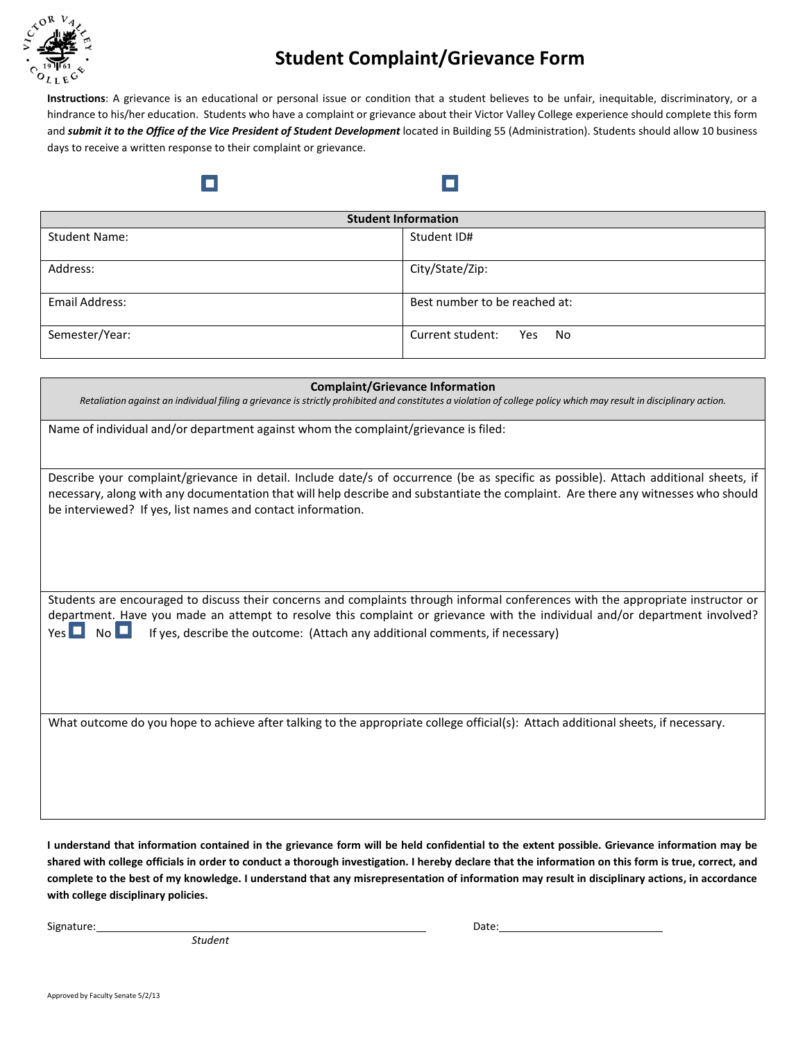

## **Student Complaint/Grievance Form**

п

**Instructions**: A grievance is an educational or personal issue or condition that a student believes to be unfair, inequitable, discriminatory, or a hindrance to his/her education. Students who have a complaint or grievance about their Victor Valley College experience should complete this form and *submit it to the Office of the Vice President of Student Development* located in Building 55 (Administration). Students should allow 10 business days to receive a written response to their complaint or grievance.

| <b>Student Information</b> |                                      |  |
|----------------------------|--------------------------------------|--|
| <b>Student Name:</b>       | Student ID#                          |  |
| Address:                   | City/State/Zip:                      |  |
| Email Address:             | Best number to be reached at:        |  |
| Semester/Year:             | Current student:<br><b>Yes</b><br>No |  |

| <b>Complaint/Grievance Information</b>                                                                                                                                                                                                                                                                                                                                          |  |
|---------------------------------------------------------------------------------------------------------------------------------------------------------------------------------------------------------------------------------------------------------------------------------------------------------------------------------------------------------------------------------|--|
| Retaliation against an individual filing a grievance is strictly prohibited and constitutes a violation of college policy which may result in disciplinary action.                                                                                                                                                                                                              |  |
| Name of individual and/or department against whom the complaint/grievance is filed:                                                                                                                                                                                                                                                                                             |  |
| Describe your complaint/grievance in detail. Include date/s of occurrence (be as specific as possible). Attach additional sheets, if<br>necessary, along with any documentation that will help describe and substantiate the complaint. Are there any witnesses who should<br>be interviewed? If yes, list names and contact information.                                       |  |
| Students are encouraged to discuss their concerns and complaints through informal conferences with the appropriate instructor or<br>department. Have you made an attempt to resolve this complaint or grievance with the individual and/or department involved?<br>N <sub>O</sub><br>Yes $\Box$<br>If yes, describe the outcome: (Attach any additional comments, if necessary) |  |
| What outcome do you hope to achieve after talking to the appropriate college official(s): Attach additional sheets, if necessary.                                                                                                                                                                                                                                               |  |

**I understand that information contained in the grievance form will be held confidential to the extent possible. Grievance information may be shared with college officials in order to conduct a thorough investigation. I hereby declare that the information on this form is true, correct, and complete to the best of my knowledge. I understand that any misrepresentation of information may result in disciplinary actions, in accordance with college disciplinary policies.**

Signature: Date: Date: Date: Date: Date: Date: Date: Date: Date: Date: Date: Date: Date: Date: Date: Date: Date: Date: Date: Date: Date: Date: Date: Date: Date: Date: Date: Date: Date: Date: Date: Date: Date: Date: Date: D

*Student*

о